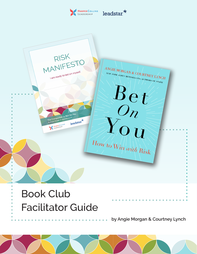



# Facilitator Guide

**by Angie Morgan & Courtney Lynch**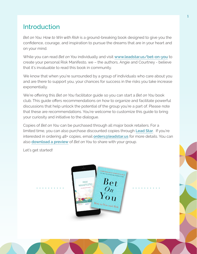## Introduction

*Bet on You: How to Win with Risk* is a ground-breaking book designed to give you the confidence, courage, and inspiration to pursue the dreams that are in your heart and on your mind.

While you can read *Bet on You* individually and visit **[www.leadstar.us/bet-on-you](http://www.leadstar.us/bet-on-you)** to create your personal Risk Manifesto, we – the authors, Angie and Courtney - believe that it's invaluable to read this book in community.

We know that when you're surrounded by a group of individuals who care about you and are there to support you, your chances for success in the risks you take increase exponentially.

We're offering this *Bet on You* facilitator guide so you can start a *Bet on You* book club. This guide offers recommendations on how to organize and facilitate powerful discussions that help unlock the potential of the group you're a part of. Please note that these are recommendations. You're welcome to customize this guide to bring your curiosity and initiative to the dialogue.

Copies of *Bet on You* can be purchased through all major book retailers. For a limited time, you can also purchase discounted copies through **[Lead Star](https://shop.leadstar.us)**. If you're interested in ordering 48+ copies, email **[orders@leadstar.us](mailto:orders%40leadstar.us?subject=Bet%20on%20You)** for more details. You can also **[download a preview](https://leadstar.us/wp-content/uploads/2022/04/Bet-on-You-Preview.pdf)** of *Bet on You* to share with your group.

Let's get started!

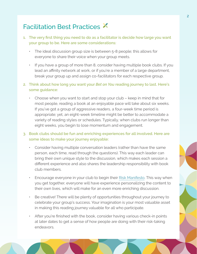## Facilitation Best Practices

- **1. The very first thing you need to do as a facilitator is decide how large you want your group to be. Here are some considerations:**
	- The ideal discussion group size is between 5-8 people; this allows for everyone to share their voice when your group meets.
	- If you have a group of more than 8, consider having multiple book clubs. If you lead an affinity network at work, or if you're a member of a large department, break your group up and assign co-facilitators for each respective group.
- **2. Think about how long you want your** *Bet on You* **reading journey to last. Here's some guidance:**
	- Choose when you want to start and stop your club keep in mind that for most people, reading a book at an enjoyable pace will take about six weeks. If you've got a group of aggressive readers, a four-week time period is appropriate; yet, an eight-week timeline might be better to accommodate a variety of reading styles or schedules. Typically, when clubs run longer than eight weeks, you begin to lose momentum and engagement.

#### **3. Book clubs should be fun and enriching experiences for all involved. Here are some ideas to make your journey enjoyable:**

- Consider having multiple conversation leaders (rather than have the same person, each time, read through the questions). This way each leader can bring their own unique style to the discussion, which makes each session a different experience and also shares the leadership responsibility with book club members.
- Encourage everyone in your club to begin their [Risk Manifesto](https://leadstar.us/bet-on-you). This way when you get together, everyone will have experience personalizing the content to their own lives, which will make for an even more enriching discussion.
- Be creative! There will be plenty of opportunities throughout your journey to celebrate your group's success. Your imagination is your most valuable asset in making this reading journey valuable for all who participate.
- After you're finished with the book, consider having various check-in points at later dates to get a sense of how people are doing with their risk-taking endeavors.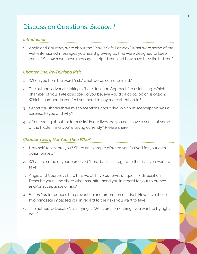## Discussion Questions: *Section I*

## *Introduction*

1. Angie and Courtney write about the "Play it Safe Paradox." What were some of the well-intentioned messages you heard growing up that were designed to keep you safe? How have these messages helped you, and how have they limited you?

## *Chapter One: Re-Thinking Risk*

- 1. When you hear the word "risk," what words come to mind?
- 2. The authors advocate taking a "Kaleidoscope Approach" to risk taking. Which chamber of your kaleidoscope do you believe you do a good job of risk-taking? Which chamber do you feel you need to pay more attention to?
- *3. Bet on You* shares three misconceptions about risk. Which misconception was a surprise to you and why?
- 4. After reading about "hidden risks" in our lives, do you now have a sense of some of the hidden risks you're taking currently? Please share.

## *Chapter Two: If Not You, Then Who?*

- 1. How self-reliant are you? Share an example of when you "strived for your own goals, bravely."
- 2. What are some of your perceived "hold-backs" in regard to the risks you want to take?
- 3. Angie and Courtney share that we all have our own, unique risk disposition. Describe yours and share what has influenced you in regard to your tolerance and/or acceptance of risk?
- *4. Bet on You* introduces the prevention and promotion mindset. How have these two mindsets impacted you in regard to the risks you want to take?
- 5. The authors advocate "Just Trying It." What are some things you want to try right now?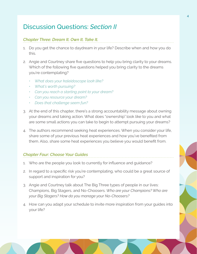## Discussion Questions: *Section II*

## *Chapter Three: Dream It. Own It. Take It.*

- 1. Do you get the chance to daydream in your life? Describe when and how you do this.
- 2. Angie and Courtney share five questions to help you bring clarity to your dreams. Which of the following five questions helped you bring clarity to the dreams you're contemplating?
	- *• What does your kaleidoscope look like?*
	- *• What's worth pursuing?*
	- *• Can you reach a starting point to your dream?*
	- *• Can you resource your dream?*
	- *• Does that challenge seem fun?*
- 3. At the end of this chapter, there's a strong accountability message about owning your dreams and taking action. What does "ownership" look like to you and what are some small actions you can take to begin to attempt pursuing your dreams?
- 4. The authors recommend seeking heat experiences. When you consider your life, share some of your previous heat experiences and how you've benefited from them. Also, share some heat experiences you believe you would benefit from.

## *Chapter Four: Choose Your Guides*

- 1. Who are the people you look to currently for influence and guidance?
- 2. In regard to a specific risk you're contemplating, who could be a great source of support and inspiration for you?
- 3. Angie and Courtney talk about The Big Three types of people in our lives: Champions, Big Stagers, and No-Choosers. *Who are your Champions? Who are your Big Stagers? How do you manage your No-Choosers?*
- 4. How can you adapt your schedule to invite more inspiration from your guides into your life?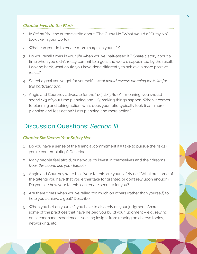### *Chapter Five: Do the Work*

- 1. In *Bet on You*, the authors write about "The Gutsy No." What would a "Gutsy No" look like in your world?
- 2. What can you do to create more margin in your life?
- 3. Do you recall times in your life when you've "half-assed it?" Share a story about a time when you didn't really commit to a goal and were disappointed by the result. Looking back, what could you have done differently to achieve a more positive result?
- 4. Select a goal you've got for yourself *what would reverse planning look like for this particular goal?*
- 5. Angie and Courtney advocate for the "1/3, 2/3 Rule" meaning, you should spend 1/3 of your time planning and 2/3 making things happen. When it comes to planning and taking action, what does your ratio typically look like – more planning and less action? Less planning and more action?

## Discussion Questions: *Section III*

#### *Chapter Six: Weave Your Safety Net*

- 1. Do you have a sense of the financial commitment it'll take to pursue the risk(s) you're contemplating? Describe.
- 2. Many people feel afraid, or nervous, to invest in themselves and their dreams. *Does this sound like you? Explain.*
- 3. Angie and Courtney write that "your talents are your safety net." What are some of the talents you have that you either take for granted or don't rely upon enough? Do you see how your talents can create security for you?
- 4. Are there times when you've relied too much on others (rather than yourself) to help you achieve a goal? Describe.
- 5. When you bet on yourself, you have to also rely on your judgment. Share some of the practices that have helped you build your judgment – e.g., relying on secondhand experiences, seeking insight from reading on diverse topics, networking, etc.